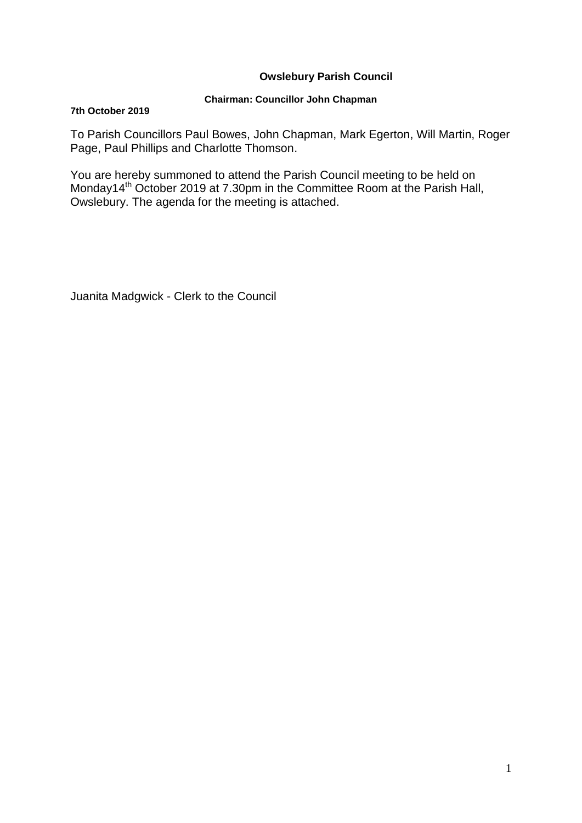# **Owslebury Parish Council**

### **Chairman: Councillor John Chapman**

#### **7th October 2019**

To Parish Councillors Paul Bowes, John Chapman, Mark Egerton, Will Martin, Roger Page, Paul Phillips and Charlotte Thomson.

You are hereby summoned to attend the Parish Council meeting to be held on Monday14<sup>th</sup> October 2019 at 7.30pm in the Committee Room at the Parish Hall, Owslebury. The agenda for the meeting is attached.

Juanita Madgwick - Clerk to the Council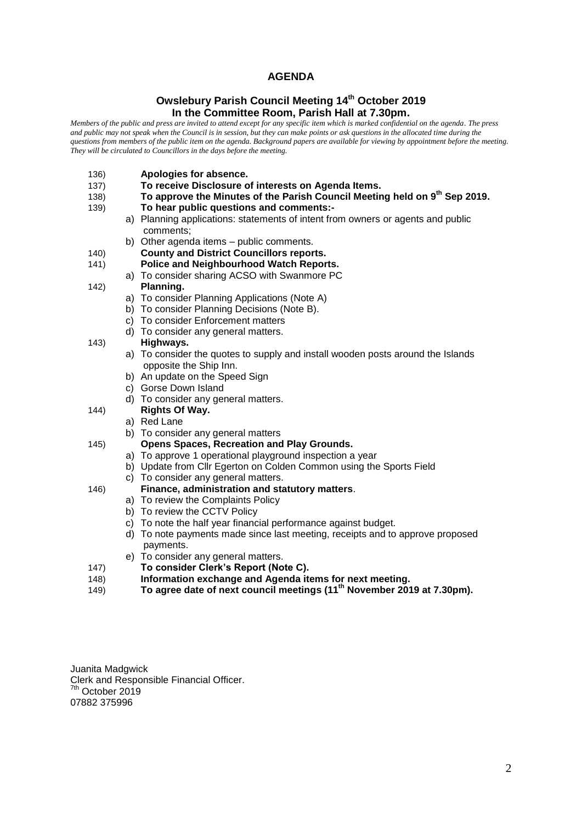### **AGENDA**

### **Owslebury Parish Council Meeting 14th October 2019 In the Committee Room, Parish Hall at 7.30pm.**

*Members of the public and press are invited to attend except for any specific item which is marked confidential on the agenda. The press and public may not speak when the Council is in session, but they can make points or ask questions in the allocated time during the questions from members of the public item on the agenda. Background papers are available for viewing by appointment before the meeting. They will be circulated to Councillors in the days before the meeting.* 

- 136) **Apologies for absence.**
- 137) **To receive Disclosure of interests on Agenda Items.**
- 138) **To approve the Minutes of the Parish Council Meeting held on 9th Sep 2019.**
- 139) **To hear public questions and comments:**
	- a) Planning applications: statements of intent from owners or agents and public comments;
	- b) Other agenda items public comments.
- 140) **County and District Councillors reports.**
- 141) **Police and Neighbourhood Watch Reports.**
	- a) To consider sharing ACSO with Swanmore PC
- 142) **Planning.** 
	- a) To consider Planning Applications (Note A)
	- b) To consider Planning Decisions (Note B).
	- c) To consider Enforcement matters
	- d) To consider any general matters.

#### 143) **Highways.**

- a) To consider the quotes to supply and install wooden posts around the Islands opposite the Ship Inn.
- b) An update on the Speed Sign
- c) Gorse Down Island
- d) To consider any general matters.
- 144) **Rights Of Way.**
	- a) Red Lane
	- b) To consider any general matters
- 145) **Opens Spaces, Recreation and Play Grounds.**
	- a) To approve 1 operational playground inspection a year
	- b) Update from Cllr Egerton on Colden Common using the Sports Field
	- c) To consider any general matters.
- 146) **Finance, administration and statutory matters**.
	- a) To review the Complaints Policy
	- b) To review the CCTV Policy
	- c) To note the half year financial performance against budget.
	- d) To note payments made since last meeting, receipts and to approve proposed payments.
	- e) To consider any general matters.
- 147) **To consider Clerk's Report (Note C).**
- 148) **Information exchange and Agenda items for next meeting.**
- 149) **To agree date of next council meetings (11th November 2019 at 7.30pm).**

Juanita Madgwick Clerk and Responsible Financial Officer. <sup>7th</sup> October 2019 07882 375996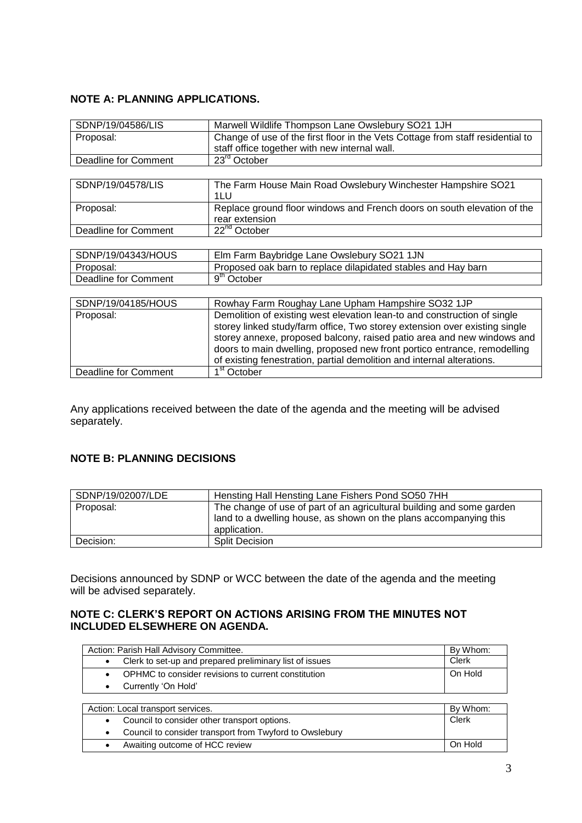# **NOTE A: PLANNING APPLICATIONS.**

| SDNP/19/04586/LIS           | Marwell Wildlife Thompson Lane Owslebury SO21 1JH                              |  |  |
|-----------------------------|--------------------------------------------------------------------------------|--|--|
| Proposal:                   | Change of use of the first floor in the Vets Cottage from staff residential to |  |  |
|                             | staff office together with new internal wall.                                  |  |  |
| Deadline for Comment        | $23rd$ October                                                                 |  |  |
|                             |                                                                                |  |  |
| SDNP/19/04578/LIS           | The Farm House Main Road Owslebury Winchester Hampshire SO21                   |  |  |
|                             | 1LU                                                                            |  |  |
| Proposal:                   | Replace ground floor windows and French doors on south elevation of the        |  |  |
|                             | rear extension                                                                 |  |  |
| <b>Deadline for Comment</b> | $22nd$ October                                                                 |  |  |
|                             |                                                                                |  |  |
| SDNP/19/04343/HOUS          | Elm Farm Baybridge Lane Owslebury SO21 1JN                                     |  |  |
| Proposal:                   | Proposed oak barn to replace dilapidated stables and Hay barn                  |  |  |
| <b>Deadline for Comment</b> | 9 <sup>th</sup> October                                                        |  |  |
|                             |                                                                                |  |  |
| SDNP/19/04185/HOUS          | Rowhay Farm Roughay Lane Upham Hampshire SO32 1JP                              |  |  |
| Proposal:                   | Demolition of existing west elevation lean-to and construction of single       |  |  |
|                             | storey linked study/farm office, Two storey extension over existing single     |  |  |
|                             | storey annexe, proposed balcony, raised patio area and new windows and         |  |  |
|                             | doors to main dwelling, proposed new front portico entrance, remodelling       |  |  |
|                             | of existing fenestration, partial demolition and internal alterations.         |  |  |
| Deadline for Comment        | 1 <sup>st</sup> October                                                        |  |  |

Any applications received between the date of the agenda and the meeting will be advised separately.

# **NOTE B: PLANNING DECISIONS**

| SDNP/19/02007/LDE | Hensting Hall Hensting Lane Fishers Pond SO50 7HH                     |
|-------------------|-----------------------------------------------------------------------|
| Proposal:         | The change of use of part of an agricultural building and some garden |
|                   | land to a dwelling house, as shown on the plans accompanying this     |
|                   | application.                                                          |
| Decision:         | <b>Split Decision</b>                                                 |

Decisions announced by SDNP or WCC between the date of the agenda and the meeting will be advised separately.

## **NOTE C: CLERK'S REPORT ON ACTIONS ARISING FROM THE MINUTES NOT INCLUDED ELSEWHERE ON AGENDA.**

| Action: Parish Hall Advisory Committee.                          |                                                         | By Whom: |
|------------------------------------------------------------------|---------------------------------------------------------|----------|
| $\bullet$                                                        | Clerk to set-up and prepared preliminary list of issues |          |
| OPHMC to consider revisions to current constitution<br>$\bullet$ |                                                         | On Hold  |
| Currently 'On Hold'<br>$\bullet$                                 |                                                         |          |
|                                                                  |                                                         |          |
| Action: Local transport services.                                |                                                         | By Whom: |
| $\bullet$                                                        | Council to consider other transport options.            | Clerk    |
| $\bullet$                                                        | Council to consider transport from Twyford to Owslebury |          |
| $\bullet$                                                        | Awaiting outcome of HCC review                          | On Hold  |